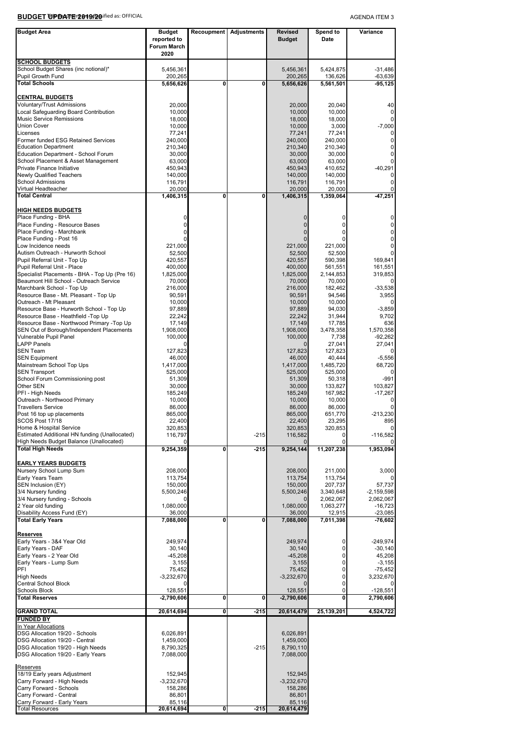**BUDGET UPDATE 2019/20** ified as: OFFICIAL

AGENDA ITEM 3

| <b>Budget Area</b>                                                                       | <b>Budget</b>           |                         | Recoupment Adjustments | <b>Revised</b>               | Spend to                      | Variance                   |
|------------------------------------------------------------------------------------------|-------------------------|-------------------------|------------------------|------------------------------|-------------------------------|----------------------------|
|                                                                                          | reported to             |                         |                        | <b>Budget</b>                | Date                          |                            |
|                                                                                          | Forum March<br>2020     |                         |                        |                              |                               |                            |
| <b>SCHOOL BUDGETS</b>                                                                    |                         |                         |                        |                              |                               |                            |
| School Budget Shares (inc notional)*                                                     | 5,456,361               |                         |                        | 5,456,361                    | 5,424,875                     | $-31,486$                  |
| Pupil Growth Fund                                                                        | 200,265                 |                         |                        | 200,265                      | 136,626                       | $-63,639$                  |
| <b>Total Schools</b>                                                                     | 5,656,626               | 0                       | 0                      | 5,656,626                    | 5,561,501                     | $-95, 125$                 |
| <b>CENTRAL BUDGETS</b>                                                                   |                         |                         |                        |                              |                               |                            |
| Voluntary/Trust Admissions                                                               | 20,000                  |                         |                        | 20,000                       | 20,040                        | 40                         |
| Local Safeguarding Board Contribution                                                    | 10,000                  |                         |                        | 10,000                       | 10,000                        | $\mathbf 0$                |
| <b>Music Service Remissions</b><br><b>Union Cover</b>                                    | 18,000<br>10,000        |                         |                        | 18,000<br>10,000             | 18,000<br>3,000               | $\mathbf 0$<br>$-7,000$    |
| Licenses                                                                                 | 77,241                  |                         |                        | 77,241                       | 77,241                        | 0                          |
| Former funded ESG Retained Services                                                      | 240,000                 |                         |                        | 240,000                      | 240,000                       | $\mathbf 0$                |
| <b>Education Department</b>                                                              | 210,340                 |                         |                        | 210,340                      | 210,340                       | $\mathbf 0$                |
| Education Department - School Forum<br>School Placement & Asset Management               | 30,000<br>63,000        |                         |                        | 30,000<br>63,000             | 30,000<br>63,000              | $\mathbf 0$<br>0           |
| Private Finance Initiative                                                               | 450,943                 |                         |                        | 450,943                      | 410,652                       | $-40,291$                  |
| <b>Newly Qualified Teachers</b>                                                          | 140,000                 |                         |                        | 140,000                      | 140,000                       | 0                          |
| <b>School Admissions</b>                                                                 | 116,791                 |                         |                        | 116,791                      | 116,791                       | $\mathbf 0$                |
| Virtual Headteacher<br><b>Total Central</b>                                              | 20,000<br>1,406,315     | 0                       | 0                      | 20,000<br>1,406,315          | 20,000<br>1,359,064           | $\mathbf 0$<br>-47,251     |
|                                                                                          |                         |                         |                        |                              |                               |                            |
| <b>HIGH NEEDS BUDGETS</b>                                                                |                         |                         |                        |                              |                               |                            |
| Place Funding - BHA                                                                      | 0                       |                         |                        | 0                            | 0                             | $\pmb{0}$                  |
| Place Funding - Resource Bases<br>Place Funding - Marchbank                              | $\mathbf 0$<br>0        |                         |                        | $\mathbf{0}$<br>$\mathbf{0}$ | 0<br>0                        | $\mathbf 0$<br>$\mathbf 0$ |
| Place Funding - Post 16                                                                  | 0                       |                         |                        | $\overline{0}$               | 0                             | $\pmb{0}$                  |
| Low Incidence needs                                                                      | 221,000                 |                         |                        | 221,000                      | 221,000                       | $\pmb{0}$                  |
| Autism Outreach - Hurworth School                                                        | 52,500                  |                         |                        | 52,500                       | 52,500                        | $\mathsf 0$                |
| Pupil Referral Unit - Top Up<br>Pupil Referral Unit - Place                              | 420,557<br>400,000      |                         |                        | 420,557<br>400,000           | 590,398<br>561,551            | 169,841<br>161,551         |
| Specialist Placements - BHA - Top Up (Pre 16)                                            | 1,825,000               |                         |                        | 1,825,000                    | 2,144,853                     | 319,853                    |
| Beaumont Hill School - Outreach Service                                                  | 70,000                  |                         |                        | 70,000                       | 70,000                        | 0                          |
| Marchbank School - Top Up                                                                | 216,000                 |                         |                        | 216,000                      | 182,462                       | $-33,538$                  |
| Resource Base - Mt. Pleasant - Top Up<br>Outreach - Mt Pleasant                          | 90,591<br>10,000        |                         |                        | 90,591<br>10,000             | 94,546<br>10,000              | 3,955<br>$\mathbf 0$       |
| Resource Base - Hurworth School - Top Up                                                 | 97,889                  |                         |                        | 97,889                       | 94,030                        | $-3,859$                   |
| Resource Base - Heathfield -Top Up                                                       | 22,242                  |                         |                        | 22,242                       | 31,944                        | 9,702                      |
| Resource Base - Northwood Primary -Top Up                                                | 17,149                  |                         |                        | 17,149                       | 17,785                        | 636                        |
| SEN Out of Borough/Independent Placements<br>Vulnerable Pupil Panel                      | 1,908,000<br>100,000    |                         |                        | 1,908,000<br>100,000         | 3,478,358<br>7,738            | 1,570,358<br>-92,262       |
| <b>LAPP Panels</b>                                                                       | 0                       |                         |                        |                              | 27,041                        | 27,041                     |
| <b>SEN Team</b>                                                                          | 127,823                 |                         |                        | 127,823                      | 127,823                       | $\mathbf 0$                |
| <b>SEN Equipment</b>                                                                     | 46,000                  |                         |                        | 46,000                       | 40,444                        | $-5,556$                   |
| Mainstream School Top Ups<br><b>SEN Transport</b>                                        | 1,417,000<br>525,000    |                         |                        | 1,417,000<br>525,000         | 1,485,720<br>525,000          | 68,720<br>$\mathbf 0$      |
| School Forum Commissioning post                                                          | 51,309                  |                         |                        | 51,309                       | 50,318                        | -991                       |
| Other SEN                                                                                | 30,000                  |                         |                        | 30,000                       | 133,827                       | 103,827                    |
| PFI - High Needs                                                                         | 185,249                 |                         |                        | 185,249                      | 167,982                       | $-17,267$                  |
| Outreach - Northwood Primary<br><b>Travellers Service</b>                                | 10,000<br>86,000        |                         |                        | 10,000<br>86,000             | 10,000<br>86,000              | 0<br>$\pmb{0}$             |
| Post 16 top up placements                                                                | 865,000                 |                         |                        | 865,000                      | 651,770                       | $-213,230$                 |
| SCOS Post 17/18                                                                          | 22,400                  |                         |                        | 22,400                       | 23,295                        | 895                        |
| Home & Hospital Service                                                                  | 320,853                 |                         |                        | 320,853                      | 320,853                       | $\mathbf 0$                |
| Estimated Additional HN funding (Unallocated)<br>High Needs Budget Balance (Unallocated) | 116,797                 |                         | $-215$                 | 116,582                      | 0<br>0                        | $-116,582$<br>0            |
| <b>Total High Needs</b>                                                                  | 9,254,359               | 0                       | $-215$                 | 9,254,144                    | 11,207,238                    | 1,953,094                  |
|                                                                                          |                         |                         |                        |                              |                               |                            |
| <b>EARLY YEARS BUDGETS</b>                                                               |                         |                         |                        |                              |                               |                            |
| Nursery School Lump Sum<br>Early Years Team                                              | 208,000                 |                         |                        | 208,000<br>113,754           | 211,000                       | 3,000                      |
| SEN Inclusion (EY)                                                                       | 113,754<br>150,000      |                         |                        | 150,000                      | 113,754<br>207,737            | 57,737                     |
| 3/4 Nursery funding                                                                      | 5,500,246               |                         |                        | 5,500,246                    | 3,340,648                     | $-2,159,598$               |
| 3/4 Nursery funding - Schools                                                            |                         |                         |                        |                              | 2,062,067                     | 2,062,067                  |
| 2 Year old funding<br>Disability Access Fund (EY)                                        | 1,080,000<br>36,000     |                         |                        | 1,080,000<br>36,000          | 1,063,277<br>12,915           | $-16,723$<br>$-23,085$     |
| <b>Total Early Years</b>                                                                 | 7,088,000               | 0                       | 0                      | 7,088,000                    | 7,011,398                     | $-76,602$                  |
|                                                                                          |                         |                         |                        |                              |                               |                            |
| <b>Reserves</b>                                                                          |                         |                         |                        |                              |                               |                            |
| Early Years - 3&4 Year Old<br>Early Years - DAF                                          | 249,974<br>30,140       |                         |                        | 249,974                      | $\overline{0}$<br>$\mathbf 0$ | $-249,974$                 |
| Early Years - 2 Year Old                                                                 | $-45,208$               |                         |                        | 30,140<br>$-45,208$          | $\mathbf 0$                   | $-30,140$<br>45,208        |
| Early Years - Lump Sum                                                                   | 3,155                   |                         |                        | 3,155                        | $\mathbf 0$                   | $-3,155$                   |
| PFI                                                                                      | 75,452                  |                         |                        | 75,452                       | $\mathbf 0$                   | $-75,452$                  |
| <b>High Needs</b><br>Central School Block                                                | $-3,232,670$<br>O       |                         |                        | $-3,232,670$                 | $\mathbf 0$<br>0              | 3,232,670                  |
| Schools Block                                                                            | 128,551                 |                         |                        | 128,551                      | 0                             | 0<br>$-128,551$            |
| <b>Total Reserves</b>                                                                    | $-2,790,606$            | 0                       | 0                      | $-2,790,606$                 | 0                             | 2,790,606                  |
|                                                                                          |                         |                         |                        |                              |                               |                            |
| <b>GRAND TOTAL</b><br><b>FUNDED BY</b>                                                   | 20,614,694              | $\overline{\mathbf{0}}$ | $-215$                 | 20,614,479                   | 25,139,201                    | 4,524,722                  |
| In Year Allocations                                                                      |                         |                         |                        |                              |                               |                            |
| DSG Allocation 19/20 - Schools                                                           | 6,026,891               |                         |                        | 6,026,891                    |                               |                            |
| DSG Allocation 19/20 - Central                                                           | 1,459,000               |                         |                        | 1,459,000                    |                               |                            |
| DSG Allocation 19/20 - High Needs                                                        | 8,790,325               |                         | $-215$                 | 8,790,110                    |                               |                            |
| DSG Allocation 19/20 - Early Years                                                       | 7,088,000               |                         |                        | 7,088,000                    |                               |                            |
| <b>Reserves</b>                                                                          |                         |                         |                        |                              |                               |                            |
| 18/19 Early years Adjustment                                                             | 152,945                 |                         |                        | 152,945                      |                               |                            |
| Carry Forward - High Needs<br>Carry Forward - Schools                                    | $-3,232,670$<br>158,286 |                         |                        | $-3,232,670$<br>158,286      |                               |                            |
| Carry Forward - Central                                                                  | 86,801                  |                         |                        | 86,801                       |                               |                            |
| Carry Forward - Early Years                                                              | 85,116                  |                         |                        | 85,116                       |                               |                            |
| <b>Total Resources</b>                                                                   | 20,614,694              | $\overline{\mathbf{0}}$ | $-215$                 | 20,614,479                   |                               |                            |